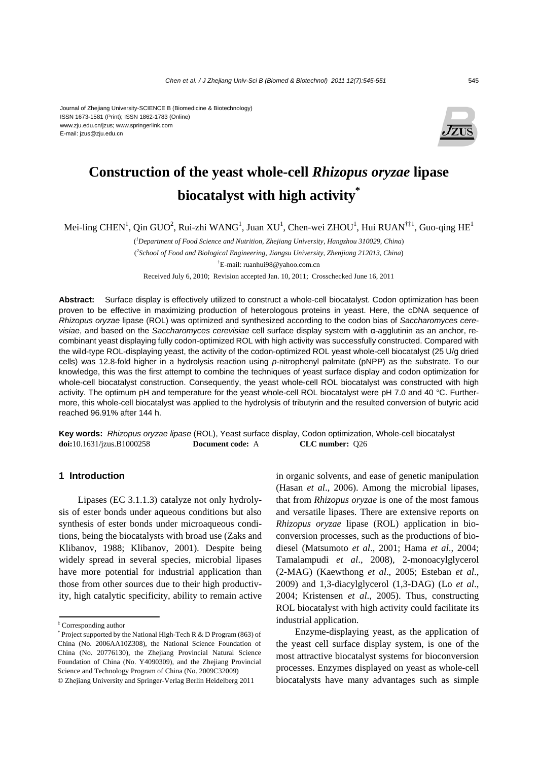#### Journal of Zhejiang University-SCIENCE B (Biomedicine & Biotechnology) ISSN 1673-1581 (Print); ISSN 1862-1783 (Online) www.zju.edu.cn/jzus; www.springerlink.com E-mail: jzus@zju.edu.cn



# **Construction of the yeast whole-cell** *Rhizopus oryzae* **lipase biocatalyst with high activity\***

Mei-ling CHEN<sup>1</sup>, Qin GUO<sup>2</sup>, Rui-zhi WANG<sup>1</sup>, Juan XU<sup>1</sup>, Chen-wei ZHOU<sup>1</sup>, Hui RUAN<sup>†‡1</sup>, Guo-qing HE<sup>1</sup>

( *1 Department of Food Science and Nutrition, Zhejiang University, Hangzhou 310029, China*) ( *2 School of Food and Biological Engineering, Jiangsu University, Zhenjiang 212013, China*) † E-mail: ruanhui98@yahoo.com.cn Received July 6, 2010; Revision accepted Jan. 10, 2011; Crosschecked June 16, 2011

**Abstract:** Surface display is effectively utilized to construct a whole-cell biocatalyst. Codon optimization has been proven to be effective in maximizing production of heterologous proteins in yeast. Here, the cDNA sequence of *Rhizopus oryzae* lipase (ROL) was optimized and synthesized according to the codon bias of *Saccharomyces cerevisiae*, and based on the *Saccharomyces cerevisiae* cell surface display system with α-agglutinin as an anchor, recombinant yeast displaying fully codon-optimized ROL with high activity was successfully constructed. Compared with the wild-type ROL-displaying yeast, the activity of the codon-optimized ROL yeast whole-cell biocatalyst (25 U/g dried cells) was 12.8-fold higher in a hydrolysis reaction using *p*-nitrophenyl palmitate (pNPP) as the substrate. To our knowledge, this was the first attempt to combine the techniques of yeast surface display and codon optimization for whole-cell biocatalyst construction. Consequently, the yeast whole-cell ROL biocatalyst was constructed with high activity. The optimum pH and temperature for the yeast whole-cell ROL biocatalyst were pH 7.0 and 40 °C. Furthermore, this whole-cell biocatalyst was applied to the hydrolysis of tributyrin and the resulted conversion of butyric acid reached 96.91% after 144 h.

**Key words:** *Rhizopus oryzae lipase* (ROL), Yeast surface display, Codon optimization, Whole-cell biocatalyst **doi:**10.1631/jzus.B1000258 **Document code:** A **CLC number:** Q26

## **1 Introduction**

Lipases (EC 3.1.1.3) catalyze not only hydrolysis of ester bonds under aqueous conditions but also synthesis of ester bonds under microaqueous conditions, being the biocatalysts with broad use (Zaks and Klibanov, 1988; Klibanov, 2001). Despite being widely spread in several species, microbial lipases have more potential for industrial application than those from other sources due to their high productivity, high catalytic specificity, ability to remain active

in organic solvents, and ease of genetic manipulation (Hasan *et al*., 2006). Among the microbial lipases, that from *Rhizopus oryzae* is one of the most famous and versatile lipases. There are extensive reports on *Rhizopus oryzae* lipase (ROL) application in bioconversion processes, such as the productions of biodiesel (Matsumoto *et al*., 2001; Hama *et al*., 2004; Tamalampudi *et al*., 2008), 2-monoacylglycerol (2-MAG) (Kaewthong *et al*., 2005; Esteban *et al*., 2009) and 1,3-diacylglycerol (1,3-DAG) (Lo *et al*., 2004; Kristensen *et al*., 2005). Thus, constructing ROL biocatalyst with high activity could facilitate its industrial application.

Enzyme-displaying yeast, as the application of the yeast cell surface display system, is one of the most attractive biocatalyst systems for bioconversion processes. Enzymes displayed on yeast as whole-cell biocatalysts have many advantages such as simple

<sup>‡</sup> Corresponding author

<sup>\*</sup> Project supported by the National High-Tech R & D Program (863) of China (No. 2006AA10Z308), the National Science Foundation of China (No. 20776130), the Zhejiang Provincial Natural Science Foundation of China (No. Y4090309), and the Zhejiang Provincial Science and Technology Program of China (No. 2009C32009)

<sup>©</sup> Zhejiang University and Springer-Verlag Berlin Heidelberg 2011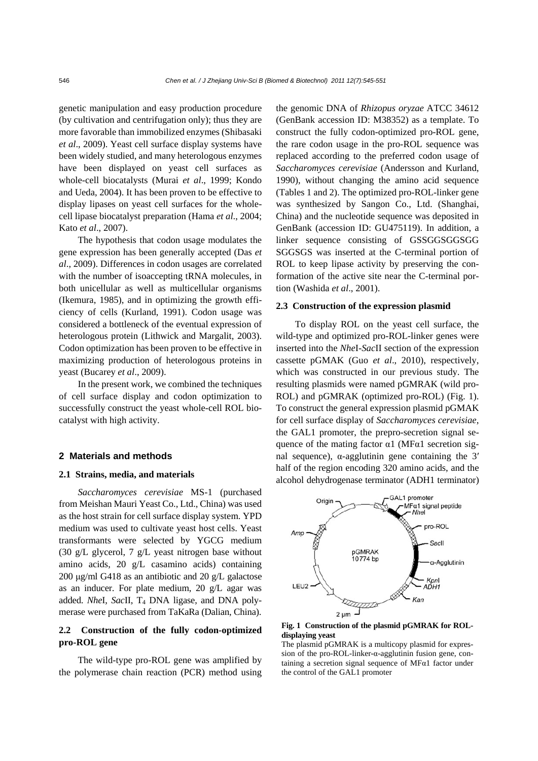genetic manipulation and easy production procedure (by cultivation and centrifugation only); thus they are more favorable than immobilized enzymes (Shibasaki *et al*., 2009). Yeast cell surface display systems have been widely studied, and many heterologous enzymes have been displayed on yeast cell surfaces as whole-cell biocatalysts (Murai *et al*., 1999; Kondo and Ueda, 2004). It has been proven to be effective to display lipases on yeast cell surfaces for the wholecell lipase biocatalyst preparation (Hama *et al*., 2004; Kato *et al*., 2007).

The hypothesis that codon usage modulates the gene expression has been generally accepted (Das *et al*., 2009). Differences in codon usages are correlated with the number of isoaccepting tRNA molecules, in both unicellular as well as multicellular organisms (Ikemura, 1985), and in optimizing the growth efficiency of cells (Kurland, 1991). Codon usage was considered a bottleneck of the eventual expression of heterologous protein (Lithwick and Margalit, 2003). Codon optimization has been proven to be effective in maximizing production of heterologous proteins in yeast (Bucarey *et al*., 2009).

In the present work, we combined the techniques of cell surface display and codon optimization to successfully construct the yeast whole-cell ROL biocatalyst with high activity.

#### **2 Materials and methods**

## **2.1 Strains, media, and materials**

*Saccharomyces cerevisiae* MS-1 (purchased from Meishan Mauri Yeast Co., Ltd., China) was used as the host strain for cell surface display system. YPD medium was used to cultivate yeast host cells. Yeast transformants were selected by YGCG medium (30 g/L glycerol, 7 g/L yeast nitrogen base without amino acids, 20 g/L casamino acids) containing 200 μg/ml G418 as an antibiotic and 20 g/L galactose as an inducer. For plate medium, 20 g/L agar was added. *NheI*, *SacII*, T<sub>4</sub> DNA ligase, and DNA polymerase were purchased from TaKaRa (Dalian, China).

# **2.2 Construction of the fully codon-optimized pro-ROL gene**

The wild-type pro-ROL gene was amplified by the polymerase chain reaction (PCR) method using the genomic DNA of *Rhizopus oryzae* ATCC 34612 (GenBank accession ID: M38352) as a template. To construct the fully codon-optimized pro-ROL gene, the rare codon usage in the pro-ROL sequence was replaced according to the preferred codon usage of *Saccharomyces cerevisiae* (Andersson and Kurland, 1990), without changing the amino acid sequence (Tables 1 and 2). The optimized pro-ROL-linker gene was synthesized by Sangon Co., Ltd. (Shanghai, China) and the nucleotide sequence was deposited in GenBank (accession ID: GU475119). In addition, a linker sequence consisting of GSSGGSGGSGG SGGSGS was inserted at the C-terminal portion of ROL to keep lipase activity by preserving the conformation of the active site near the C-terminal portion (Washida *et al*., 2001).

#### **2.3 Construction of the expression plasmid**

To display ROL on the yeast cell surface, the wild-type and optimized pro-ROL-linker genes were inserted into the *Nhe*I-*Sac*II section of the expression cassette pGMAK (Guo *et al*., 2010), respectively, which was constructed in our previous study. The resulting plasmids were named pGMRAK (wild pro-ROL) and pGMRAK (optimized pro-ROL) (Fig. 1). To construct the general expression plasmid pGMAK for cell surface display of *Saccharomyces cerevisiae*, the GAL1 promoter, the prepro-secretion signal sequence of the mating factor α1 (MFα1 secretion signal sequence), α-agglutinin gene containing the 3′ half of the region encoding 320 amino acids, and the alcohol dehydrogenase terminator (ADH1 terminator)



**Fig. 1 Construction of the plasmid pGMRAK for ROLdisplaying yeast** 

The plasmid pGMRAK is a multicopy plasmid for expression of the pro-ROL-linker-α-agglutinin fusion gene, containing a secretion signal sequence of MFα1 factor under the control of the GAL1 promoter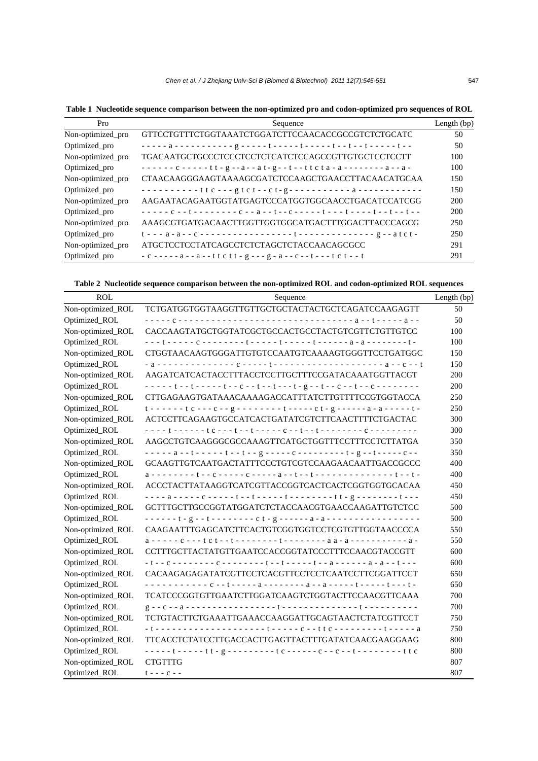| Pro               | Sequence                                           | Length (bp) |
|-------------------|----------------------------------------------------|-------------|
| Non-optimized_pro | GTTCCTGTTTCTGGTAAATCTGGATCTTCCAACACCGCCGTCTCTGCATC | 50          |
| Optimized_pro     |                                                    | 50          |
| Non-optimized_pro | TGACAATGCTGCCCTCCCTCCTCTCATCTCCAGCCGTTGTGCTCCTCCTT | 100         |
| Optimized_pro     |                                                    | 100         |
| Non-optimized_pro | CTAACAAGGGAAGTAAAAGCGATCTCCAAGCTGAACCTTACAACATGCAA | 150         |
| Optimized_pro     |                                                    | 150         |

Non-optimized\_pro AAGAATACAGAATGGTATGAGTCCCATGGTGGCAACCTGACATCCATCGG 200 Optimized\_pro -----c--t --------c--a--t--c-----t---t----t--t--t-- 200 Non-optimized\_pro AAAGCGTGATGACAACTTGGTTGGTGGCATGACTTTGGACTTACCCAGCG 250 Optimized\_pro t - - - a-a--c-----------------t--------------g--atct- 250 Non-optimized\_pro ATGCTCCTCCTATCAGCCTCTCTAGCTCTACCAACAGCGCC 291 Optimized\_pro  $-c$  -----a--a--ttctt-g ---g-a--c--t---tct--t 291

**Table 1 Nucleotide sequence comparison between the non-optimized pro and codon-optimized pro sequences of ROL**

**Table 2 Nucleotide sequence comparison between the non-optimized ROL and codon-optimized ROL sequences**

| <b>ROL</b>        | Sequence                                                                                            | Length (bp) |
|-------------------|-----------------------------------------------------------------------------------------------------|-------------|
| Non-optimized_ROL | TCTGATGGTGGTAAGGTTGTTGCTGCTACTACTGCTCAGATCCAAGAGTT                                                  | 50          |
| Optimized_ROL     |                                                                                                     | 50          |
| Non-optimized_ROL | CACCAAGTATGCTGGTATCGCTGCCACTGCCTACTGTCGTTCTGTTGTCC                                                  | 100         |
| Optimized_ROL     |                                                                                                     | 100         |
| Non-optimized_ROL | CTGGTAACAAGTGGGATTGTGTCCAATGTCAAAAGTGGGTTCCTGATGGC                                                  | 150         |
| Optimized_ROL     |                                                                                                     | 150         |
| Non-optimized_ROL | AAGATCATCACTACCTTTACCTCCTTGCTTTCCGATACAAATGGTTACGT                                                  | 200         |
| Optimized_ROL     |                                                                                                     | 200         |
| Non-optimized_ROL | CTTGAGAAGTGATAAACAAAAGACCATTTATCTTGTTTTCCGTGGTACCA                                                  | 250         |
| Optimized_ROL     | $t$ - - - - - - t c - - - c - - g - - - - - - - t - - - - - c t - g - - - - - - a - a - - - - - t - | 250         |
| Non-optimized_ROL | ACTCCTTCAGAAGTGCCATCACTGATATCGTCTTCAACTTTTCTGACTAC                                                  | 300         |
| Optimized_ROL     |                                                                                                     | 300         |
| Non-optimized_ROL | AAGCCTGTCAAGGGCGCCAAAGTTCATGCTGGTTTCCTTTCCTCTTATGA                                                  | 350         |
| Optimized_ROL     |                                                                                                     | 350         |
| Non-optimized_ROL | GCAAGTTGTCAATGACTATTTCCCTGTCGTCCAAGAACAATTGACCGCCC                                                  | 400         |
| Optimized_ROL     |                                                                                                     | 400         |
| Non-optimized_ROL | ACCCTACTTATAAGGTCATCGTTACCGGTCACTCACTCGGTGGTGCACAA                                                  | 450         |
| Optimized_ROL     |                                                                                                     | 450         |
| Non-optimized_ROL | GCTTTGCTTGCCGGTATGGATCTCTACCAACGTGAACCAAGATTGTCTCC                                                  | 500         |
| Optimized_ROL     |                                                                                                     | 500         |
| Non-optimized_ROL | CAAGAATTTGAGCATCTTCACTGTCGGTGGTCCTCGTGTTGGTAACCCCA                                                  | 550         |
| Optimized_ROL     |                                                                                                     | 550         |
| Non-optimized_ROL | CCTTTGCTTACTATGTTGAATCCACCGGTATCCCTTTCCAACGTACCGTT                                                  | 600         |
| Optimized_ROL     |                                                                                                     | 600         |
| Non-optimized_ROL | CACAAGAGAGATATCGTTCCTCACGTTCCTCCTCAATCCTTCGGATTCCT                                                  | 650         |
| Optimized_ROL     |                                                                                                     | 650         |
| Non-optimized_ROL | TCATCCCGGTGTTGAATCTTGGATCAAGTCTGGTACTTCCAACGTTCAAA                                                  | 700         |
| Optimized_ROL     |                                                                                                     | 700         |
| Non-optimized_ROL | TCTGTACTTCTGAAATTGAAACCAAGGATTGCAGTAACTCTATCGTTCCT                                                  | 750         |
| Optimized_ROL     |                                                                                                     | 750         |
| Non-optimized_ROL |                                                                                                     | 800         |
| Optimized_ROL     |                                                                                                     | 800         |
| Non-optimized_ROL | <b>CTGTTTG</b>                                                                                      | 807         |
| Optimized_ROL     | $t - - - c - -$                                                                                     | 807         |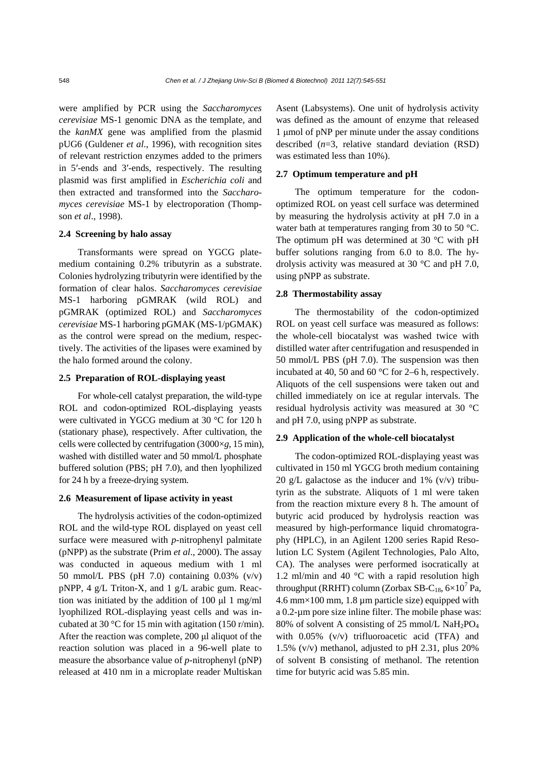were amplified by PCR using the *Saccharomyces cerevisiae* MS-1 genomic DNA as the template, and the *kanMX* gene was amplified from the plasmid pUG6 (Guldener *et al*., 1996), with recognition sites of relevant restriction enzymes added to the primers in 5′-ends and 3′-ends, respectively. The resulting plasmid was first amplified in *Escherichia coli* and then extracted and transformed into the *Saccharomyces cerevisiae* MS-1 by electroporation (Thompson *et al*., 1998).

## **2.4 Screening by halo assay**

Transformants were spread on YGCG platemedium containing 0.2% tributyrin as a substrate. Colonies hydrolyzing tributyrin were identified by the formation of clear halos. *Saccharomyces cerevisiae* MS-1 harboring pGMRAK (wild ROL) and pGMRAK (optimized ROL) and *Saccharomyces cerevisiae* MS-1 harboring pGMAK (MS-1/pGMAK) as the control were spread on the medium, respectively. The activities of the lipases were examined by the halo formed around the colony.

## **2.5 Preparation of ROL-displaying yeast**

For whole-cell catalyst preparation, the wild-type ROL and codon-optimized ROL-displaying yeasts were cultivated in YGCG medium at 30 °C for 120 h (stationary phase), respectively. After cultivation, the cells were collected by centrifugation (3000×*g*, 15 min), washed with distilled water and 50 mmol/L phosphate buffered solution (PBS; pH 7.0), and then lyophilized for 24 h by a freeze-drying system.

## **2.6 Measurement of lipase activity in yeast**

The hydrolysis activities of the codon-optimized ROL and the wild-type ROL displayed on yeast cell surface were measured with *p*-nitrophenyl palmitate (pNPP) as the substrate (Prim *et al*., 2000). The assay was conducted in aqueous medium with 1 ml 50 mmol/L PBS (pH 7.0) containing  $0.03\%$  (v/v) pNPP, 4 g/L Triton-X, and 1 g/L arabic gum. Reaction was initiated by the addition of 100 μl 1 mg/ml lyophilized ROL-displaying yeast cells and was incubated at 30 °C for 15 min with agitation (150 r/min). After the reaction was complete, 200 μl aliquot of the reaction solution was placed in a 96-well plate to measure the absorbance value of *p*-nitrophenyl (pNP) released at 410 nm in a microplate reader Multiskan

Asent (Labsystems). One unit of hydrolysis activity was defined as the amount of enzyme that released 1 μmol of pNP per minute under the assay conditions described (*n*=3, relative standard deviation (RSD) was estimated less than 10%).

## **2.7 Optimum temperature and pH**

The optimum temperature for the codonoptimized ROL on yeast cell surface was determined by measuring the hydrolysis activity at pH 7.0 in a water bath at temperatures ranging from 30 to 50 °C. The optimum pH was determined at 30 °C with pH buffer solutions ranging from 6.0 to 8.0. The hydrolysis activity was measured at 30 °C and pH 7.0, using pNPP as substrate.

## **2.8 Thermostability assay**

The thermostability of the codon-optimized ROL on yeast cell surface was measured as follows: the whole-cell biocatalyst was washed twice with distilled water after centrifugation and resuspended in 50 mmol/L PBS (pH 7.0). The suspension was then incubated at 40, 50 and 60 °C for 2–6 h, respectively. Aliquots of the cell suspensions were taken out and chilled immediately on ice at regular intervals. The residual hydrolysis activity was measured at 30 °C and pH 7.0, using pNPP as substrate.

#### **2.9 Application of the whole-cell biocatalyst**

The codon-optimized ROL-displaying yeast was cultivated in 150 ml YGCG broth medium containing 20 g/L galactose as the inducer and 1%  $(v/v)$  tributyrin as the substrate. Aliquots of 1 ml were taken from the reaction mixture every 8 h. The amount of butyric acid produced by hydrolysis reaction was measured by high-performance liquid chromatography (HPLC), in an Agilent 1200 series Rapid Resolution LC System (Agilent Technologies, Palo Alto, CA). The analyses were performed isocratically at 1.2 ml/min and 40  $^{\circ}$ C with a rapid resolution high throughput (RRHT) column (Zorbax SB-C<sub>18</sub>,  $6 \times 10^7$  Pa, 4.6 mm×100 mm, 1.8 µm particle size) equipped with a 0.2-µm pore size inline filter. The mobile phase was: 80% of solvent A consisting of 25 mmol/L NaH<sub>2</sub>PO<sub>4</sub> with 0.05% (v/v) trifluoroacetic acid (TFA) and 1.5% (v/v) methanol, adjusted to pH 2.31, plus 20% of solvent B consisting of methanol. The retention time for butyric acid was 5.85 min.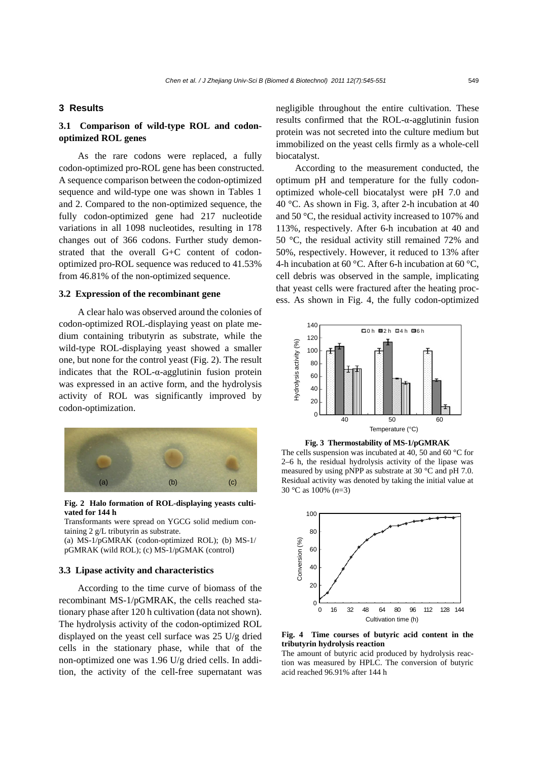## **3 Results**

# **3.1 Comparison of wild-type ROL and codonoptimized ROL genes**

As the rare codons were replaced, a fully codon-optimized pro-ROL gene has been constructed. A sequence comparison between the codon-optimized sequence and wild-type one was shown in Tables 1 and 2. Compared to the non-optimized sequence, the fully codon-optimized gene had 217 nucleotide variations in all 1098 nucleotides, resulting in 178 changes out of 366 codons. Further study demonstrated that the overall G+C content of codonoptimized pro-ROL sequence was reduced to 41.53% from 46.81% of the non-optimized sequence.

## **3.2 Expression of the recombinant gene**

A clear halo was observed around the colonies of codon-optimized ROL-displaying yeast on plate medium containing tributyrin as substrate, while the wild-type ROL-displaying yeast showed a smaller one, but none for the control yeast (Fig. 2). The result indicates that the ROL-α-agglutinin fusion protein was expressed in an active form, and the hydrolysis activity of ROL was significantly improved by codon-optimization.



**Fig. 2 Halo formation of ROL-displaying yeasts cultivated for 144 h** 

Transformants were spread on YGCG solid medium containing 2 g/L tributyrin as substrate.

(a) MS-1/pGMRAK (codon-optimized ROL); (b) MS-1/ pGMRAK (wild ROL); (c) MS-1/pGMAK (control)

## **3.3 Lipase activity and characteristics**

According to the time curve of biomass of the recombinant MS-1/pGMRAK, the cells reached stationary phase after 120 h cultivation (data not shown). The hydrolysis activity of the codon-optimized ROL displayed on the yeast cell surface was 25 U/g dried cells in the stationary phase, while that of the non-optimized one was 1.96 U/g dried cells. In addition, the activity of the cell-free supernatant was negligible throughout the entire cultivation. These results confirmed that the ROL-α-agglutinin fusion protein was not secreted into the culture medium but immobilized on the yeast cells firmly as a whole-cell biocatalyst.

According to the measurement conducted, the optimum pH and temperature for the fully codonoptimized whole-cell biocatalyst were pH 7.0 and 40 °C. As shown in Fig. 3, after 2-h incubation at 40 and 50 °C, the residual activity increased to 107% and 113%, respectively. After 6-h incubation at 40 and 50 °C, the residual activity still remained 72% and 50%, respectively. However, it reduced to 13% after 4-h incubation at 60 °C. After 6-h incubation at 60 °C, cell debris was observed in the sample, implicating that yeast cells were fractured after the heating process. As shown in Fig. 4, the fully codon-optimized



**Fig. 3 Thermostability of MS-1/pGMRAK**  The cells suspension was incubated at 40, 50 and 60 °C for 2–6 h, the residual hydrolysis activity of the lipase was measured by using pNPP as substrate at 30 °C and pH 7.0. Residual activity was denoted by taking the initial value at



**Fig. 4 Time courses of butyric acid content in the tributyrin hydrolysis reaction** 

The amount of butyric acid produced by hydrolysis reaction was measured by HPLC. The conversion of butyric acid reached 96.91% after 144 h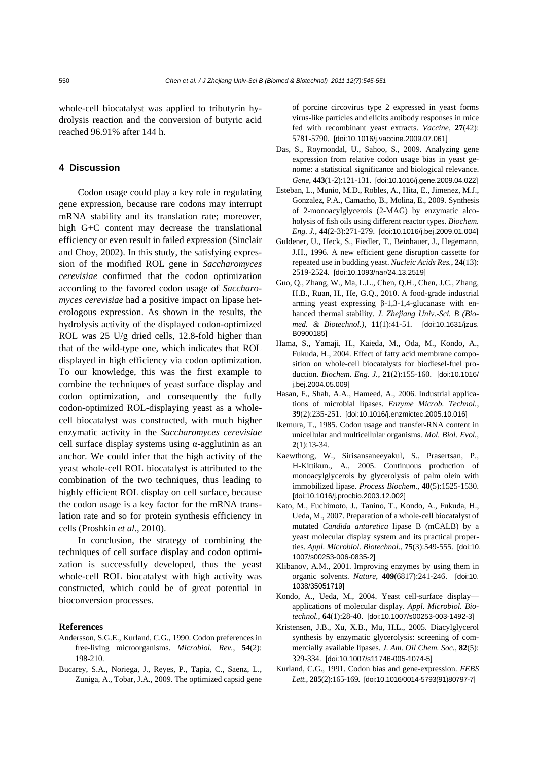whole-cell biocatalyst was applied to tributyrin hydrolysis reaction and the conversion of butyric acid reached 96.91% after 144 h.

## **4 Discussion**

Codon usage could play a key role in regulating gene expression, because rare codons may interrupt mRNA stability and its translation rate; moreover, high G+C content may decrease the translational efficiency or even result in failed expression (Sinclair and Choy, 2002). In this study, the satisfying expression of the modified ROL gene in *Saccharomyces cerevisiae* confirmed that the codon optimization according to the favored codon usage of *Saccharomyces cerevisiae* had a positive impact on lipase heterologous expression. As shown in the results, the hydrolysis activity of the displayed codon-optimized ROL was 25 U/g dried cells, 12.8-fold higher than that of the wild-type one, which indicates that ROL displayed in high efficiency via codon optimization. To our knowledge, this was the first example to combine the techniques of yeast surface display and codon optimization, and consequently the fully codon-optimized ROL-displaying yeast as a wholecell biocatalyst was constructed, with much higher enzymatic activity in the *Saccharomyces cerevisiae* cell surface display systems using  $α$ -agglutinin as an anchor. We could infer that the high activity of the yeast whole-cell ROL biocatalyst is attributed to the combination of the two techniques, thus leading to highly efficient ROL display on cell surface, because the codon usage is a key factor for the mRNA translation rate and so for protein synthesis efficiency in cells (Proshkin *et al*., 2010).

In conclusion, the strategy of combining the techniques of cell surface display and codon optimization is successfully developed, thus the yeast whole-cell ROL biocatalyst with high activity was constructed, which could be of great potential in bioconversion processes.

#### **References**

- Andersson, S.G.E., Kurland, C.G., 1990. Codon preferences in free-living microorganisms. *Microbiol. Rev.*, **54**(2): 198-210.
- Bucarey, S.A., Noriega, J., Reyes, P., Tapia, C., Saenz, L., Zuniga, A., Tobar, J.A., 2009. The optimized capsid gene

of porcine circovirus type 2 expressed in yeast forms virus-like particles and elicits antibody responses in mice fed with recombinant yeast extracts. *Vaccine*, **27**(42): 5781-5790. [doi:10.1016/j.vaccine.2009.07.061]

- Das, S., Roymondal, U., Sahoo, S., 2009. Analyzing gene expression from relative codon usage bias in yeast genome: a statistical significance and biological relevance. *Gene*, **443**(1-2):121-131. [doi:10.1016/j.gene.2009.04.022]
- Esteban, L., Munio, M.D., Robles, A., Hita, E., Jimenez, M.J., Gonzalez, P.A., Camacho, B., Molina, E., 2009. Synthesis of 2-monoacylglycerols (2-MAG) by enzymatic alcoholysis of fish oils using different reactor types. *Biochem. Eng. J.*, **44**(2-3):271-279. [doi:10.1016/j.bej.2009.01.004]
- Guldener, U., Heck, S., Fiedler, T., Beinhauer, J., Hegemann, J.H., 1996. A new efficient gene disruption cassette for repeated use in budding yeast. *Nucleic Acids Res.*, **24**(13): 2519-2524. [doi:10.1093/nar/24.13.2519]
- Guo, Q., Zhang, W., Ma, L.L., Chen, Q.H., Chen, J.C., Zhang, H.B., Ruan, H., He, G.Q., 2010. A food-grade industrial arming yeast expressing β-1,3-1,4-glucanase with enhanced thermal stability. *J. Zhejiang Univ.-Sci. B (Biomed. & Biotechnol.)*, **11**(1):41-51. [doi:10.1631/jzus. B0900185]
- Hama, S., Yamaji, H., Kaieda, M., Oda, M., Kondo, A., Fukuda, H., 2004. Effect of fatty acid membrane composition on whole-cell biocatalysts for biodiesel-fuel production. *Biochem. Eng. J.*, **21**(2):155-160. [doi:10.1016/ j.bej.2004.05.009]
- Hasan, F., Shah, A.A., Hameed, A., 2006. Industrial applications of microbial lipases. *Enzyme Microb. Technol.*, **39**(2):235-251. [doi:10.1016/j.enzmictec.2005.10.016]
- Ikemura, T., 1985. Codon usage and transfer-RNA content in unicellular and multicellular organisms. *Mol. Biol. Evol.*, **2**(1):13-34.
- Kaewthong, W., Sirisansaneeyakul, S., Prasertsan, P., H-Kittikun., A., 2005. Continuous production of monoacylglycerols by glycerolysis of palm olein with immobilized lipase. *Process Biochem*., **40**(5):1525-1530. [doi:10.1016/j.procbio.2003.12.002]
- Kato, M., Fuchimoto, J., Tanino, T., Kondo, A., Fukuda, H., Ueda, M., 2007. Preparation of a whole-cell biocatalyst of mutated *Candida antaretica* lipase B (mCALB) by a yeast molecular display system and its practical properties. *Appl. Microbiol. Biotechnol.*, **75**(3):549-555. [doi:10. 1007/s00253-006-0835-2]
- Klibanov, A.M., 2001. Improving enzymes by using them in organic solvents. *Nature*, **409**(6817):241-246. [doi:10. 1038/35051719]
- Kondo, A., Ueda, M., 2004. Yeast cell-surface display applications of molecular display. *Appl. Microbiol. Biotechnol.*, **64**(1):28-40. [doi:10.1007/s00253-003-1492-3]
- Kristensen, J.B., Xu, X.B., Mu, H.L., 2005. Diacylglycerol synthesis by enzymatic glycerolysis: screening of commercially available lipases. *J. Am. Oil Chem. Soc.*, **82**(5): 329-334. [doi:10.1007/s11746-005-1074-5]
- Kurland, C.G., 1991. Codon bias and gene-expression. *FEBS Lett.*, **285**(2):165-169. [doi:10.1016/0014-5793(91)80797-7]